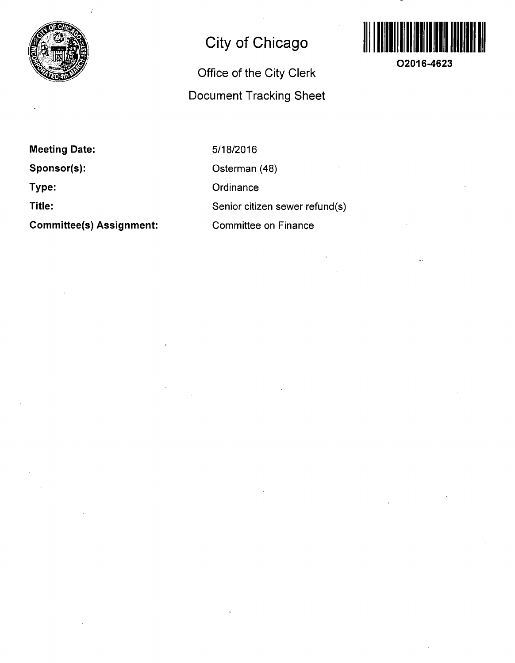

## **City of Chicago**

## **Office of the City Clerk Document Tracking Sheet**



**O2016-4623** 

**Meeting Date:** 

**Sponsor(s):** 

**Type:** 

**Title:** 

**Committee(s) Assignment:** 

5/18/2016 Osterman (48) **Ordinance** Senior citizen sewer refund(s) Committee on Finance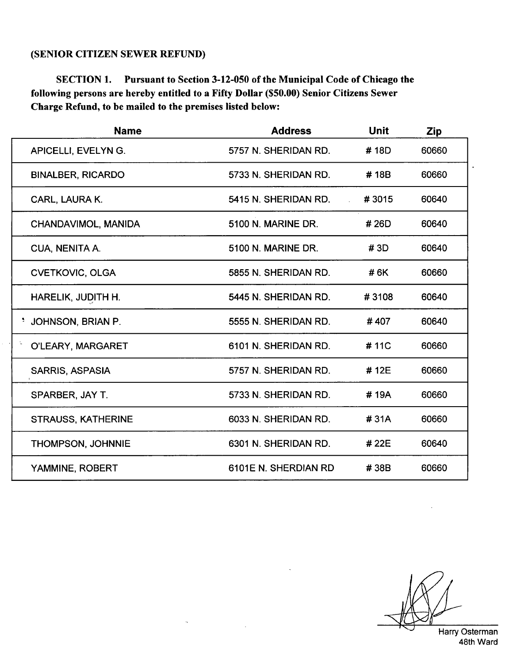## **(SENIOR CITIZEN SEWER REFUND)**

**SECTION 1. Pursuant to Section 3-12-050 of the Municipal Code of Chicago the following persons are hereby entitled to a Fifty Dollar (\$50.00) Senior Citizens Sewer Charge Refund, to be mailed to the premises listed below:** 

| <b>Name</b>               | <b>Address</b>            | <b>Unit</b> | <b>Zip</b> |
|---------------------------|---------------------------|-------------|------------|
| APICELLI, EVELYN G.       | 5757 N. SHERIDAN RD.      | #18D        | 60660      |
| <b>BINALBER, RICARDO</b>  | 5733 N. SHERIDAN RD.      | #18B        | 60660      |
| CARL, LAURA K.            | 5415 N. SHERIDAN RD.      | #3015       | 60640      |
| CHANDAVIMOL, MANIDA       | <b>5100 N. MARINE DR.</b> | #26D        | 60640      |
| CUA, NENITA A.            | 5100 N. MARINE DR.        | # 3D        | 60640      |
| <b>CVETKOVIC, OLGA</b>    | 5855 N. SHERIDAN RD.      | #6K         | 60660      |
| HARELIK, JUDITH H.        | 5445 N. SHERIDAN RD.      | #3108       | 60640      |
| JOHNSON, BRIAN P.         | 5555 N. SHERIDAN RD.      | #407        | 60640      |
| O'LEARY, MARGARET         | 6101 N. SHERIDAN RD.      | #11C        | 60660      |
| <b>SARRIS, ASPASIA</b>    | 5757 N. SHERIDAN RD.      | #12E        | 60660      |
| SPARBER, JAY T.           | 5733 N. SHERIDAN RD.      | #19A        | 60660      |
| <b>STRAUSS, KATHERINE</b> | 6033 N. SHERIDAN RD.      | #31A        | 60660      |
| <b>THOMPSON, JOHNNIE</b>  | 6301 N. SHERIDAN RD.      | #22E        | 60640      |
| YAMMINE, ROBERT           | 6101E N. SHERDIAN RD      | #38B        | 60660      |

Harry Osterman

48th Ward